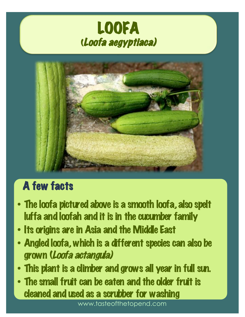



# A few facts

- The loofa pictured above is a smooth loofa, also spelt luffa and loofah and it is in the cucumber family
- Its origins are in Asia and the Middle East
- Angled loofa, which is a different species can also be grown (Loofa actangula)
- This plant is a climber and grows all year in full sun.
- The small fruit can be eaten and the older fruit is cleaned and used as a scrubber for washing

www.tasteofthetopend.com